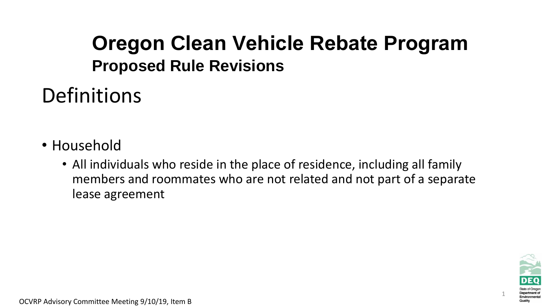### **Oregon Clean Vehicle Rebate Program Proposed Rule Revisions**

Definitions

- Household
	- All individuals who reside in the place of residence, including all family members and roommates who are not related and not part of a separate lease agreement

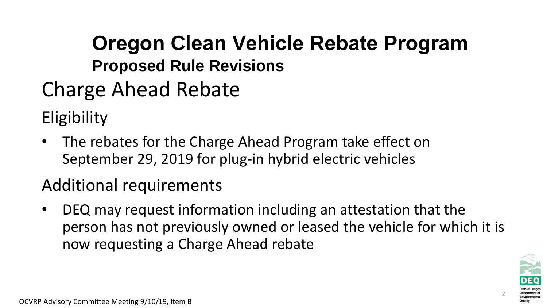# **Oregon Clean Vehicle Rebate Program Proposed Rule Revisions**

Charge Ahead Rebate

**Eligibility** 

• The rebates for the Charge Ahead Program take effect on September 29, 2019 for plug-in hybrid electric vehicles

### Additional requirements

• DEQ may request information including an attestation that the person has not previously owned or leased the vehicle for which it is now requesting a Charge Ahead rebate

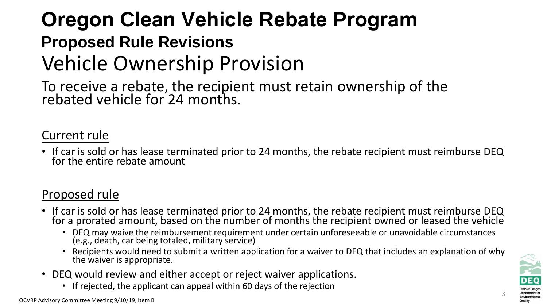### Vehicle Ownership Provision **Oregon Clean Vehicle Rebate Program Proposed Rule Revisions**

To receive a rebate, the recipient must retain ownership of the rebated vehicle for 24 months.

#### Current rule

• If car is sold or has lease terminated prior to 24 months, the rebate recipient must reimburse DEQ for the entire rebate amount

#### Proposed rule

- If car is sold or has lease terminated prior to 24 months, the rebate recipient must reimburse DEQ for a prorated amount, based on the number of months the recipient owned or leased the vehicle
	- DEQ may waive the reimbursement requirement under certain unforeseeable or unavoidable circumstances (e.g., death, car being totaled, military service)
	- Recipients would need to submit a written application for a waiver to DEQ that includes an explanation of why the waiver is appropriate.
- DEQ would review and either accept or reject waiver applications.
	- If rejected, the applicant can appeal within 60 days of the rejection